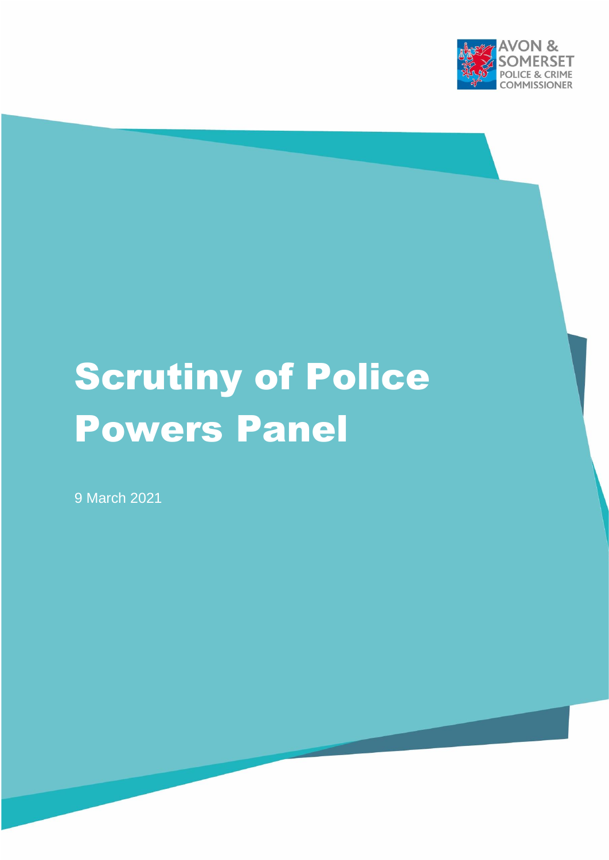

# Scrutiny of Police Powers Panel

9 March 2021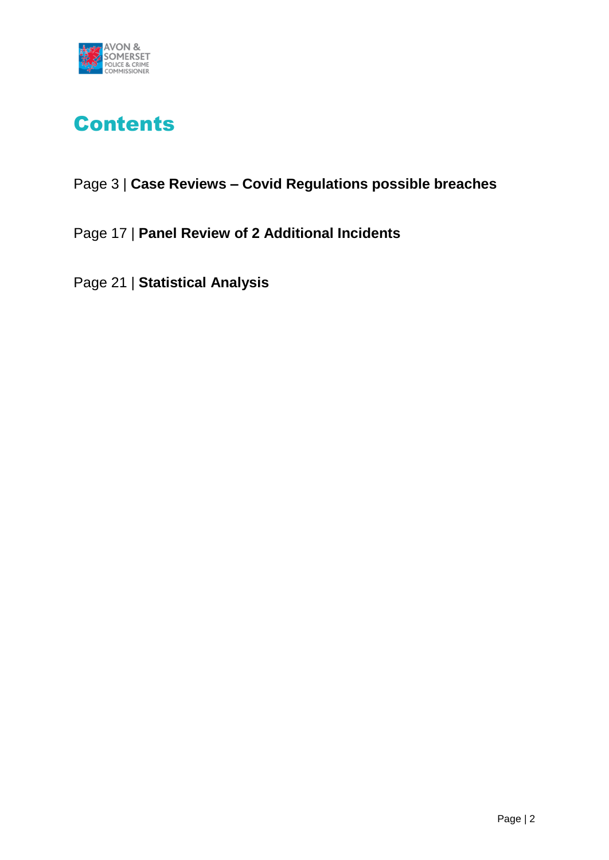

## Contents

## Page 3 | **Case Reviews – Covid Regulations possible breaches**

Page 17 | **Panel Review of 2 Additional Incidents**

Page 21 | **Statistical Analysis**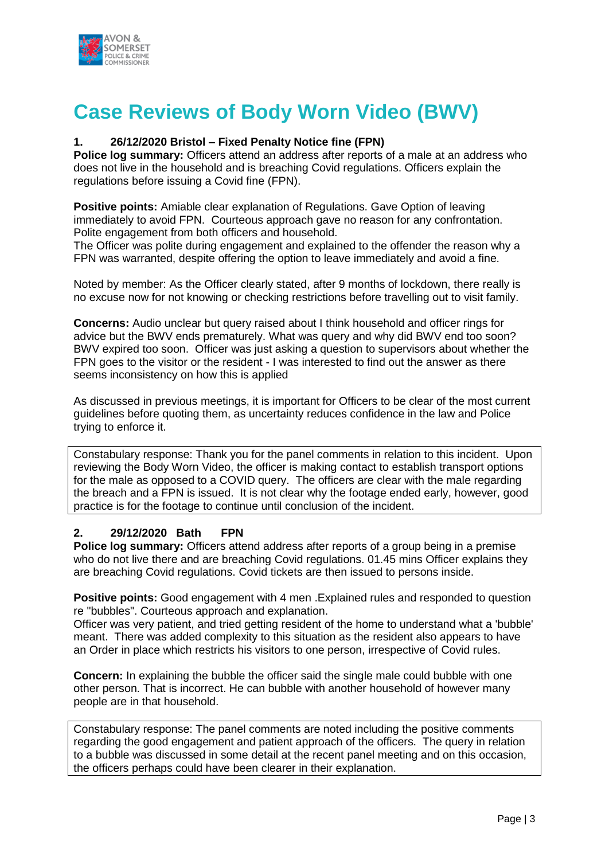

## **Case Reviews of Body Worn Video (BWV)**

#### **1. 26/12/2020 Bristol – Fixed Penalty Notice fine (FPN)**

**Police log summary:** Officers attend an address after reports of a male at an address who does not live in the household and is breaching Covid regulations. Officers explain the regulations before issuing a Covid fine (FPN).

**Positive points:** Amiable clear explanation of Regulations. Gave Option of leaving immediately to avoid FPN. Courteous approach gave no reason for any confrontation. Polite engagement from both officers and household.

The Officer was polite during engagement and explained to the offender the reason why a FPN was warranted, despite offering the option to leave immediately and avoid a fine.

Noted by member: As the Officer clearly stated, after 9 months of lockdown, there really is no excuse now for not knowing or checking restrictions before travelling out to visit family.

**Concerns:** Audio unclear but query raised about I think household and officer rings for advice but the BWV ends prematurely. What was query and why did BWV end too soon? BWV expired too soon. Officer was just asking a question to supervisors about whether the FPN goes to the visitor or the resident - I was interested to find out the answer as there seems inconsistency on how this is applied

As discussed in previous meetings, it is important for Officers to be clear of the most current guidelines before quoting them, as uncertainty reduces confidence in the law and Police trying to enforce it.

Constabulary response: Thank you for the panel comments in relation to this incident. Upon reviewing the Body Worn Video, the officer is making contact to establish transport options for the male as opposed to a COVID query. The officers are clear with the male regarding the breach and a FPN is issued. It is not clear why the footage ended early, however, good practice is for the footage to continue until conclusion of the incident.

#### **2. 29/12/2020 Bath FPN**

**Police log summary:** Officers attend address after reports of a group being in a premise who do not live there and are breaching Covid regulations. 01.45 mins Officer explains they are breaching Covid regulations. Covid tickets are then issued to persons inside.

**Positive points:** Good engagement with 4 men . Explained rules and responded to question re "bubbles". Courteous approach and explanation.

Officer was very patient, and tried getting resident of the home to understand what a 'bubble' meant. There was added complexity to this situation as the resident also appears to have an Order in place which restricts his visitors to one person, irrespective of Covid rules.

**Concern:** In explaining the bubble the officer said the single male could bubble with one other person. That is incorrect. He can bubble with another household of however many people are in that household.

Constabulary response: The panel comments are noted including the positive comments regarding the good engagement and patient approach of the officers. The query in relation to a bubble was discussed in some detail at the recent panel meeting and on this occasion, the officers perhaps could have been clearer in their explanation.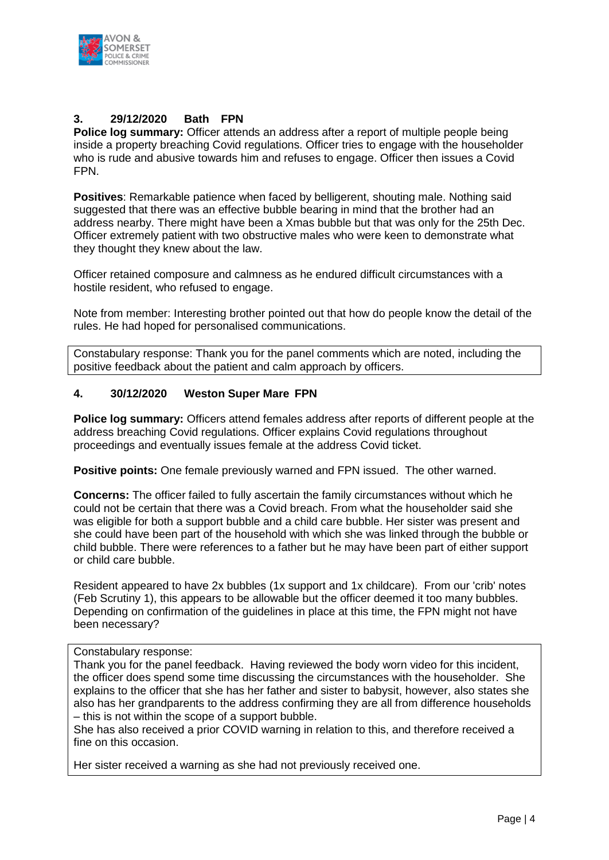

#### **3. 29/12/2020 Bath FPN**

**Police log summary:** Officer attends an address after a report of multiple people being inside a property breaching Covid regulations. Officer tries to engage with the householder who is rude and abusive towards him and refuses to engage. Officer then issues a Covid FPN.

**Positives**: Remarkable patience when faced by belligerent, shouting male. Nothing said suggested that there was an effective bubble bearing in mind that the brother had an address nearby. There might have been a Xmas bubble but that was only for the 25th Dec. Officer extremely patient with two obstructive males who were keen to demonstrate what they thought they knew about the law.

Officer retained composure and calmness as he endured difficult circumstances with a hostile resident, who refused to engage.

Note from member: Interesting brother pointed out that how do people know the detail of the rules. He had hoped for personalised communications.

Constabulary response: Thank you for the panel comments which are noted, including the positive feedback about the patient and calm approach by officers.

#### **4. 30/12/2020 Weston Super Mare FPN**

**Police log summary:** Officers attend females address after reports of different people at the address breaching Covid regulations. Officer explains Covid regulations throughout proceedings and eventually issues female at the address Covid ticket.

**Positive points:** One female previously warned and FPN issued. The other warned.

**Concerns:** The officer failed to fully ascertain the family circumstances without which he could not be certain that there was a Covid breach. From what the householder said she was eligible for both a support bubble and a child care bubble. Her sister was present and she could have been part of the household with which she was linked through the bubble or child bubble. There were references to a father but he may have been part of either support or child care bubble.

Resident appeared to have 2x bubbles (1x support and 1x childcare). From our 'crib' notes (Feb Scrutiny 1), this appears to be allowable but the officer deemed it too many bubbles. Depending on confirmation of the guidelines in place at this time, the FPN might not have been necessary?

#### Constabulary response:

Thank you for the panel feedback. Having reviewed the body worn video for this incident, the officer does spend some time discussing the circumstances with the householder. She explains to the officer that she has her father and sister to babysit, however, also states she also has her grandparents to the address confirming they are all from difference households – this is not within the scope of a support bubble.

She has also received a prior COVID warning in relation to this, and therefore received a fine on this occasion.

Her sister received a warning as she had not previously received one.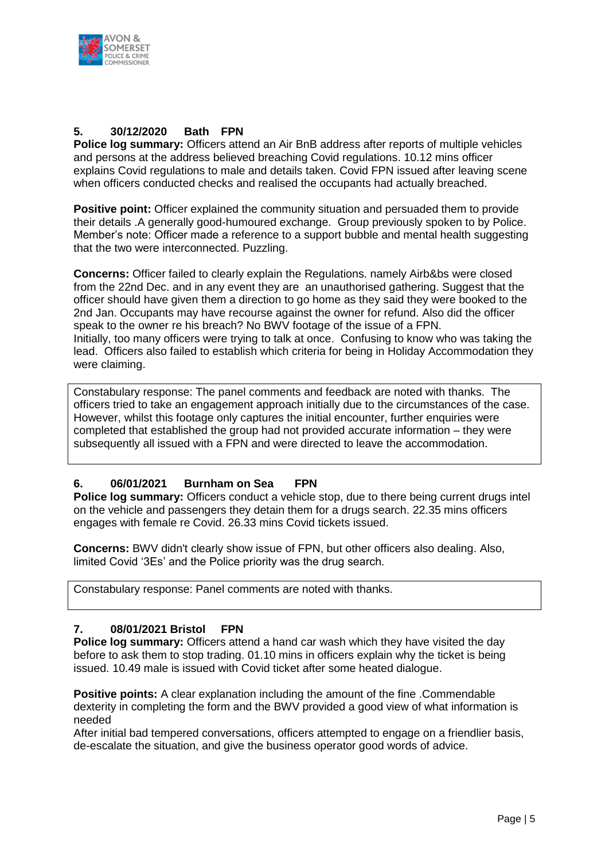

#### **5. 30/12/2020 Bath FPN**

**Police log summary:** Officers attend an Air BnB address after reports of multiple vehicles and persons at the address believed breaching Covid regulations. 10.12 mins officer explains Covid regulations to male and details taken. Covid FPN issued after leaving scene when officers conducted checks and realised the occupants had actually breached.

**Positive point:** Officer explained the community situation and persuaded them to provide their details .A generally good-humoured exchange. Group previously spoken to by Police. Member's note: Officer made a reference to a support bubble and mental health suggesting that the two were interconnected. Puzzling.

**Concerns:** Officer failed to clearly explain the Regulations. namely Airb&bs were closed from the 22nd Dec. and in any event they are an unauthorised gathering. Suggest that the officer should have given them a direction to go home as they said they were booked to the 2nd Jan. Occupants may have recourse against the owner for refund. Also did the officer speak to the owner re his breach? No BWV footage of the issue of a FPN. Initially, too many officers were trying to talk at once. Confusing to know who was taking the lead. Officers also failed to establish which criteria for being in Holiday Accommodation they were claiming.

Constabulary response: The panel comments and feedback are noted with thanks. The officers tried to take an engagement approach initially due to the circumstances of the case. However, whilst this footage only captures the initial encounter, further enquiries were completed that established the group had not provided accurate information – they were subsequently all issued with a FPN and were directed to leave the accommodation.

#### **6. 06/01/2021 Burnham on Sea FPN**

**Police log summary:** Officers conduct a vehicle stop, due to there being current drugs intel on the vehicle and passengers they detain them for a drugs search. 22.35 mins officers engages with female re Covid. 26.33 mins Covid tickets issued.

**Concerns:** BWV didn't clearly show issue of FPN, but other officers also dealing. Also, limited Covid '3Es' and the Police priority was the drug search.

Constabulary response: Panel comments are noted with thanks.

#### **7. 08/01/2021 Bristol FPN**

**Police log summary:** Officers attend a hand car wash which they have visited the day before to ask them to stop trading. 01.10 mins in officers explain why the ticket is being issued. 10.49 male is issued with Covid ticket after some heated dialogue.

**Positive points:** A clear explanation including the amount of the fine .Commendable dexterity in completing the form and the BWV provided a good view of what information is needed

After initial bad tempered conversations, officers attempted to engage on a friendlier basis, de-escalate the situation, and give the business operator good words of advice.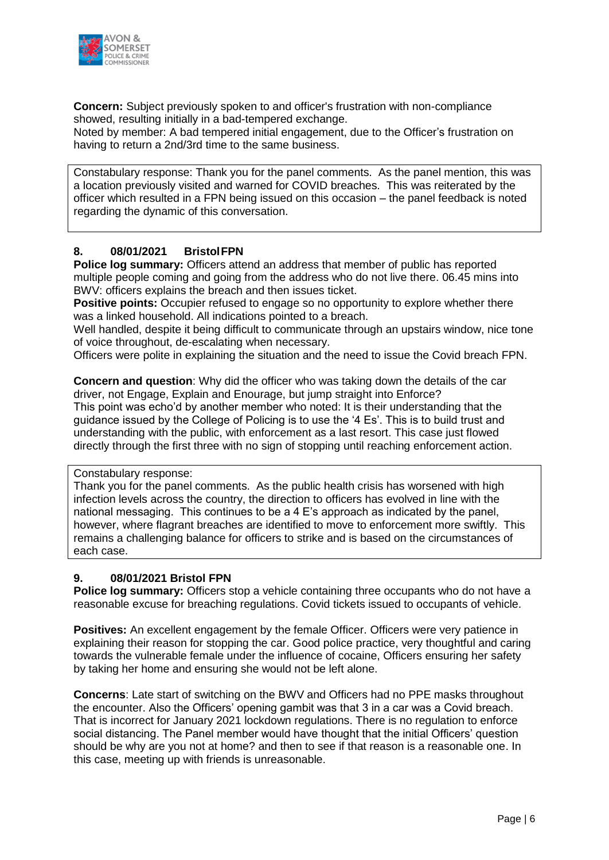

**Concern:** Subject previously spoken to and officer's frustration with non-compliance showed, resulting initially in a bad-tempered exchange.

Noted by member: A bad tempered initial engagement, due to the Officer's frustration on having to return a 2nd/3rd time to the same business.

Constabulary response: Thank you for the panel comments. As the panel mention, this was a location previously visited and warned for COVID breaches. This was reiterated by the officer which resulted in a FPN being issued on this occasion – the panel feedback is noted regarding the dynamic of this conversation.

#### **8. 08/01/2021 BristolFPN**

**Police log summary:** Officers attend an address that member of public has reported multiple people coming and going from the address who do not live there. 06.45 mins into BWV: officers explains the breach and then issues ticket.

**Positive points:** Occupier refused to engage so no opportunity to explore whether there was a linked household. All indications pointed to a breach.

Well handled, despite it being difficult to communicate through an upstairs window, nice tone of voice throughout, de-escalating when necessary.

Officers were polite in explaining the situation and the need to issue the Covid breach FPN.

**Concern and question**: Why did the officer who was taking down the details of the car driver, not Engage, Explain and Enourage, but jump straight into Enforce? This point was echo'd by another member who noted: It is their understanding that the guidance issued by the College of Policing is to use the '4 Es'. This is to build trust and understanding with the public, with enforcement as a last resort. This case just flowed directly through the first three with no sign of stopping until reaching enforcement action.

Constabulary response:

Thank you for the panel comments. As the public health crisis has worsened with high infection levels across the country, the direction to officers has evolved in line with the national messaging. This continues to be a 4 E's approach as indicated by the panel, however, where flagrant breaches are identified to move to enforcement more swiftly. This remains a challenging balance for officers to strike and is based on the circumstances of each case.

#### **9. 08/01/2021 Bristol FPN**

**Police log summary:** Officers stop a vehicle containing three occupants who do not have a reasonable excuse for breaching regulations. Covid tickets issued to occupants of vehicle.

**Positives:** An excellent engagement by the female Officer. Officers were very patience in explaining their reason for stopping the car. Good police practice, very thoughtful and caring towards the vulnerable female under the influence of cocaine, Officers ensuring her safety by taking her home and ensuring she would not be left alone.

**Concerns**: Late start of switching on the BWV and Officers had no PPE masks throughout the encounter. Also the Officers' opening gambit was that 3 in a car was a Covid breach. That is incorrect for January 2021 lockdown regulations. There is no regulation to enforce social distancing. The Panel member would have thought that the initial Officers' question should be why are you not at home? and then to see if that reason is a reasonable one. In this case, meeting up with friends is unreasonable.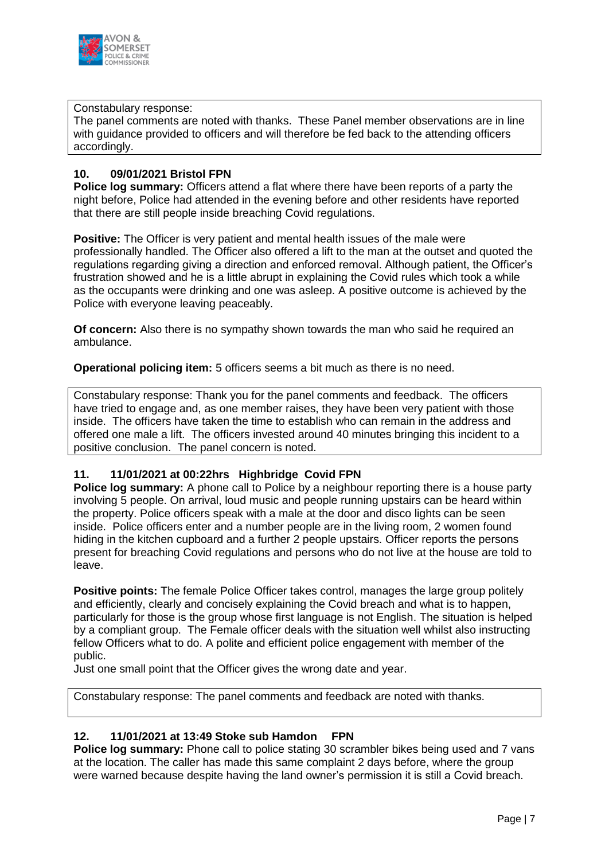

#### Constabulary response:

The panel comments are noted with thanks. These Panel member observations are in line with guidance provided to officers and will therefore be fed back to the attending officers accordingly.

#### **10. 09/01/2021 Bristol FPN**

**Police log summary:** Officers attend a flat where there have been reports of a party the night before, Police had attended in the evening before and other residents have reported that there are still people inside breaching Covid regulations.

**Positive:** The Officer is very patient and mental health issues of the male were professionally handled. The Officer also offered a lift to the man at the outset and quoted the regulations regarding giving a direction and enforced removal. Although patient, the Officer's frustration showed and he is a little abrupt in explaining the Covid rules which took a while as the occupants were drinking and one was asleep. A positive outcome is achieved by the Police with everyone leaving peaceably.

**Of concern:** Also there is no sympathy shown towards the man who said he required an ambulance.

**Operational policing item:** 5 officers seems a bit much as there is no need.

Constabulary response: Thank you for the panel comments and feedback. The officers have tried to engage and, as one member raises, they have been very patient with those inside. The officers have taken the time to establish who can remain in the address and offered one male a lift. The officers invested around 40 minutes bringing this incident to a positive conclusion. The panel concern is noted.

#### **11. 11/01/2021 at 00:22hrs Highbridge Covid FPN**

**Police log summary:** A phone call to Police by a neighbour reporting there is a house party involving 5 people. On arrival, loud music and people running upstairs can be heard within the property. Police officers speak with a male at the door and disco lights can be seen inside. Police officers enter and a number people are in the living room, 2 women found hiding in the kitchen cupboard and a further 2 people upstairs. Officer reports the persons present for breaching Covid regulations and persons who do not live at the house are told to leave.

**Positive points:** The female Police Officer takes control, manages the large group politely and efficiently, clearly and concisely explaining the Covid breach and what is to happen, particularly for those is the group whose first language is not English. The situation is helped by a compliant group. The Female officer deals with the situation well whilst also instructing fellow Officers what to do. A polite and efficient police engagement with member of the public.

Just one small point that the Officer gives the wrong date and year.

Constabulary response: The panel comments and feedback are noted with thanks.

#### **12. 11/01/2021 at 13:49 Stoke sub Hamdon FPN**

**Police log summary:** Phone call to police stating 30 scrambler bikes being used and 7 vans at the location. The caller has made this same complaint 2 days before, where the group were warned because despite having the land owner's permission it is still a Covid breach.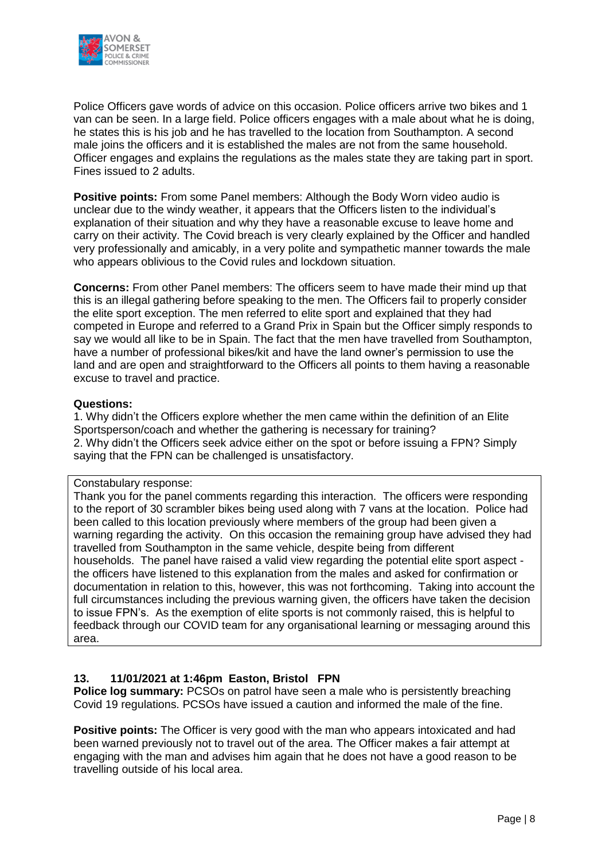

Police Officers gave words of advice on this occasion. Police officers arrive two bikes and 1 van can be seen. In a large field. Police officers engages with a male about what he is doing, he states this is his job and he has travelled to the location from Southampton. A second male joins the officers and it is established the males are not from the same household. Officer engages and explains the regulations as the males state they are taking part in sport. Fines issued to 2 adults.

**Positive points:** From some Panel members: Although the Body Worn video audio is unclear due to the windy weather, it appears that the Officers listen to the individual's explanation of their situation and why they have a reasonable excuse to leave home and carry on their activity. The Covid breach is very clearly explained by the Officer and handled very professionally and amicably, in a very polite and sympathetic manner towards the male who appears oblivious to the Covid rules and lockdown situation.

**Concerns:** From other Panel members: The officers seem to have made their mind up that this is an illegal gathering before speaking to the men. The Officers fail to properly consider the elite sport exception. The men referred to elite sport and explained that they had competed in Europe and referred to a Grand Prix in Spain but the Officer simply responds to say we would all like to be in Spain. The fact that the men have travelled from Southampton, have a number of professional bikes/kit and have the land owner's permission to use the land and are open and straightforward to the Officers all points to them having a reasonable excuse to travel and practice.

#### **Questions:**

1. Why didn't the Officers explore whether the men came within the definition of an Elite Sportsperson/coach and whether the gathering is necessary for training? 2. Why didn't the Officers seek advice either on the spot or before issuing a FPN? Simply saying that the FPN can be challenged is unsatisfactory.

#### Constabulary response:

Thank you for the panel comments regarding this interaction. The officers were responding to the report of 30 scrambler bikes being used along with 7 vans at the location. Police had been called to this location previously where members of the group had been given a warning regarding the activity. On this occasion the remaining group have advised they had travelled from Southampton in the same vehicle, despite being from different households. The panel have raised a valid view regarding the potential elite sport aspect the officers have listened to this explanation from the males and asked for confirmation or documentation in relation to this, however, this was not forthcoming. Taking into account the full circumstances including the previous warning given, the officers have taken the decision to issue FPN's. As the exemption of elite sports is not commonly raised, this is helpful to feedback through our COVID team for any organisational learning or messaging around this area.

#### **13. 11/01/2021 at 1:46pm Easton, Bristol FPN**

**Police log summary:** PCSOs on patrol have seen a male who is persistently breaching Covid 19 regulations. PCSOs have issued a caution and informed the male of the fine.

**Positive points:** The Officer is very good with the man who appears intoxicated and had been warned previously not to travel out of the area. The Officer makes a fair attempt at engaging with the man and advises him again that he does not have a good reason to be travelling outside of his local area.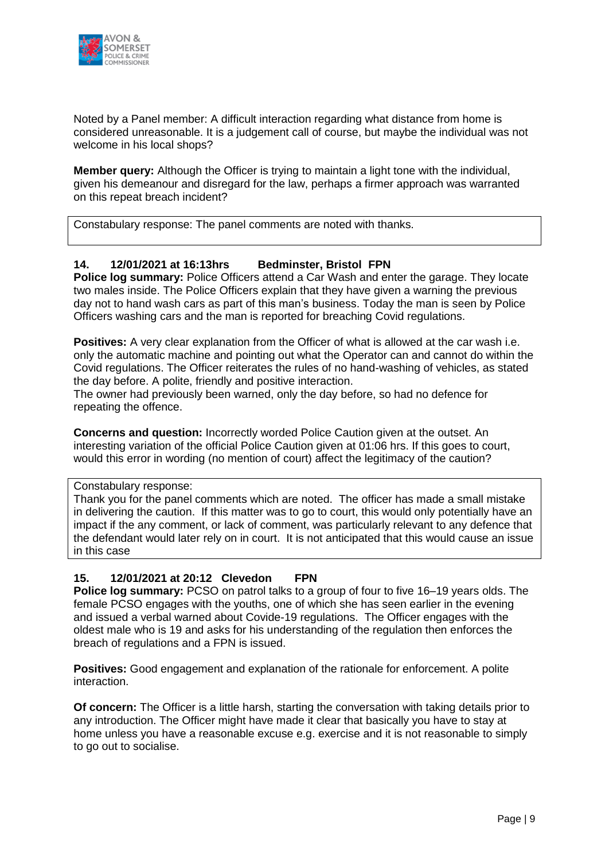

Noted by a Panel member: A difficult interaction regarding what distance from home is considered unreasonable. It is a judgement call of course, but maybe the individual was not welcome in his local shops?

**Member query:** Although the Officer is trying to maintain a light tone with the individual, given his demeanour and disregard for the law, perhaps a firmer approach was warranted on this repeat breach incident?

Constabulary response: The panel comments are noted with thanks.

#### **14. 12/01/2021 at 16:13hrs Bedminster, Bristol FPN**

**Police log summary:** Police Officers attend a Car Wash and enter the garage. They locate two males inside. The Police Officers explain that they have given a warning the previous day not to hand wash cars as part of this man's business. Today the man is seen by Police Officers washing cars and the man is reported for breaching Covid regulations.

**Positives:** A very clear explanation from the Officer of what is allowed at the car wash i.e. only the automatic machine and pointing out what the Operator can and cannot do within the Covid regulations. The Officer reiterates the rules of no hand-washing of vehicles, as stated the day before. A polite, friendly and positive interaction.

The owner had previously been warned, only the day before, so had no defence for repeating the offence.

**Concerns and question:** Incorrectly worded Police Caution given at the outset. An interesting variation of the official Police Caution given at 01:06 hrs. If this goes to court, would this error in wording (no mention of court) affect the legitimacy of the caution?

Constabulary response:

Thank you for the panel comments which are noted. The officer has made a small mistake in delivering the caution. If this matter was to go to court, this would only potentially have an impact if the any comment, or lack of comment, was particularly relevant to any defence that the defendant would later rely on in court. It is not anticipated that this would cause an issue in this case

#### **15. 12/01/2021 at 20:12 Clevedon FPN**

**Police log summary:** PCSO on patrol talks to a group of four to five 16–19 years olds. The female PCSO engages with the youths, one of which she has seen earlier in the evening and issued a verbal warned about Covide-19 regulations. The Officer engages with the oldest male who is 19 and asks for his understanding of the regulation then enforces the breach of regulations and a FPN is issued.

**Positives:** Good engagement and explanation of the rationale for enforcement. A polite interaction.

**Of concern:** The Officer is a little harsh, starting the conversation with taking details prior to any introduction. The Officer might have made it clear that basically you have to stay at home unless you have a reasonable excuse e.g. exercise and it is not reasonable to simply to go out to socialise.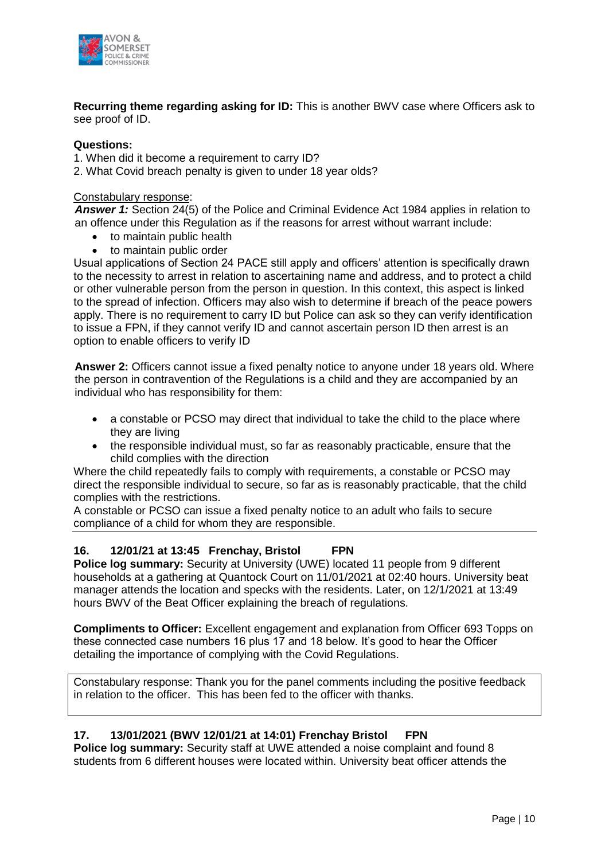

**Recurring theme regarding asking for ID:** This is another BWV case where Officers ask to see proof of ID.

#### **Questions:**

1. When did it become a requirement to carry ID?

2. What Covid breach penalty is given to under 18 year olds?

#### Constabulary response:

*Answer 1:* Section 24(5) of the Police and Criminal Evidence Act 1984 applies in relation to an offence under this Regulation as if the reasons for arrest without warrant include:

- to maintain public health
- to maintain public order

Usual applications of Section 24 PACE still apply and officers' attention is specifically drawn to the necessity to arrest in relation to ascertaining name and address, and to protect a child or other vulnerable person from the person in question. In this context, this aspect is linked to the spread of infection. Officers may also wish to determine if breach of the peace powers apply. There is no requirement to carry ID but Police can ask so they can verify identification to issue a FPN, if they cannot verify ID and cannot ascertain person ID then arrest is an option to enable officers to verify ID

**Answer 2:** Officers cannot issue a fixed penalty notice to anyone under 18 years old. Where the person in contravention of the Regulations is a child and they are accompanied by an individual who has responsibility for them:

- a constable or PCSO may direct that individual to take the child to the place where they are living
- the responsible individual must, so far as reasonably practicable, ensure that the child complies with the direction

Where the child repeatedly fails to comply with requirements, a constable or PCSO may direct the responsible individual to secure, so far as is reasonably practicable, that the child complies with the restrictions.

A constable or PCSO can issue a fixed penalty notice to an adult who fails to secure compliance of a child for whom they are responsible.

#### **16. 12/01/21 at 13:45 Frenchay, Bristol FPN**

**Police log summary:** Security at University (UWE) located 11 people from 9 different households at a gathering at Quantock Court on 11/01/2021 at 02:40 hours. University beat manager attends the location and specks with the residents. Later, on 12/1/2021 at 13:49 hours BWV of the Beat Officer explaining the breach of regulations.

**Compliments to Officer:** Excellent engagement and explanation from Officer 693 Topps on these connected case numbers 16 plus 17 and 18 below. It's good to hear the Officer detailing the importance of complying with the Covid Regulations.

Constabulary response: Thank you for the panel comments including the positive feedback in relation to the officer. This has been fed to the officer with thanks.

#### **17. 13/01/2021 (BWV 12/01/21 at 14:01) Frenchay Bristol FPN**

**Police log summary:** Security staff at UWE attended a noise complaint and found 8 students from 6 different houses were located within. University beat officer attends the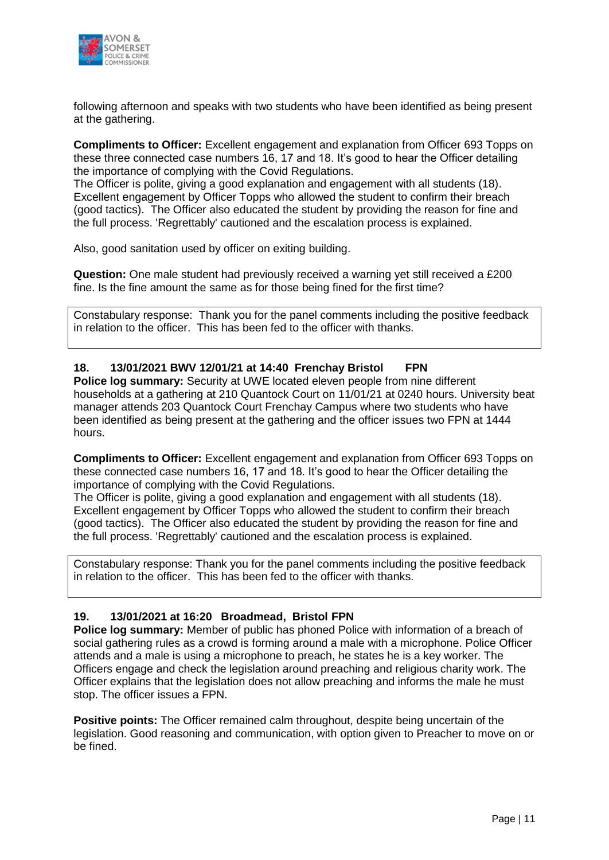

following afternoon and speaks with two students who have been identified as being present at the gathering.

**Compliments to Officer:** Excellent engagement and explanation from Officer 693 Topps on these three connected case numbers 16, 17 and 18. It's good to hear the Officer detailing the importance of complying with the Covid Regulations.

The Officer is polite, giving a good explanation and engagement with all students (18). Excellent engagement by Officer Topps who allowed the student to confirm their breach (good tactics). The Officer also educated the student by providing the reason for fine and the full process. 'Regrettably' cautioned and the escalation process is explained.

Also, good sanitation used by officer on exiting building.

**Question:** One male student had previously received a warning yet still received a £200 fine. Is the fine amount the same as for those being fined for the first time?

Constabulary response: Thank you for the panel comments including the positive feedback in relation to the officer. This has been fed to the officer with thanks.

#### **18. 13/01/2021 BWV 12/01/21 at 14:40 Frenchay Bristol FPN**

**Police log summary:** Security at UWE located eleven people from nine different households at a gathering at 210 Quantock Court on 11/01/21 at 0240 hours. University beat manager attends 203 Quantock Court Frenchay Campus where two students who have been identified as being present at the gathering and the officer issues two FPN at 1444 hours.

**Compliments to Officer:** Excellent engagement and explanation from Officer 693 Topps on these connected case numbers 16, 17 and 18. It's good to hear the Officer detailing the importance of complying with the Covid Regulations.

The Officer is polite, giving a good explanation and engagement with all students (18). Excellent engagement by Officer Topps who allowed the student to confirm their breach (good tactics). The Officer also educated the student by providing the reason for fine and the full process. 'Regrettably' cautioned and the escalation process is explained.

Constabulary response: Thank you for the panel comments including the positive feedback in relation to the officer. This has been fed to the officer with thanks.

#### **19. 13/01/2021 at 16:20 Broadmead, Bristol FPN**

**Police log summary:** Member of public has phoned Police with information of a breach of social gathering rules as a crowd is forming around a male with a microphone. Police Officer attends and a male is using a microphone to preach, he states he is a key worker. The Officers engage and check the legislation around preaching and religious charity work. The Officer explains that the legislation does not allow preaching and informs the male he must stop. The officer issues a FPN.

**Positive points:** The Officer remained calm throughout, despite being uncertain of the legislation. Good reasoning and communication, with option given to Preacher to move on or be fined.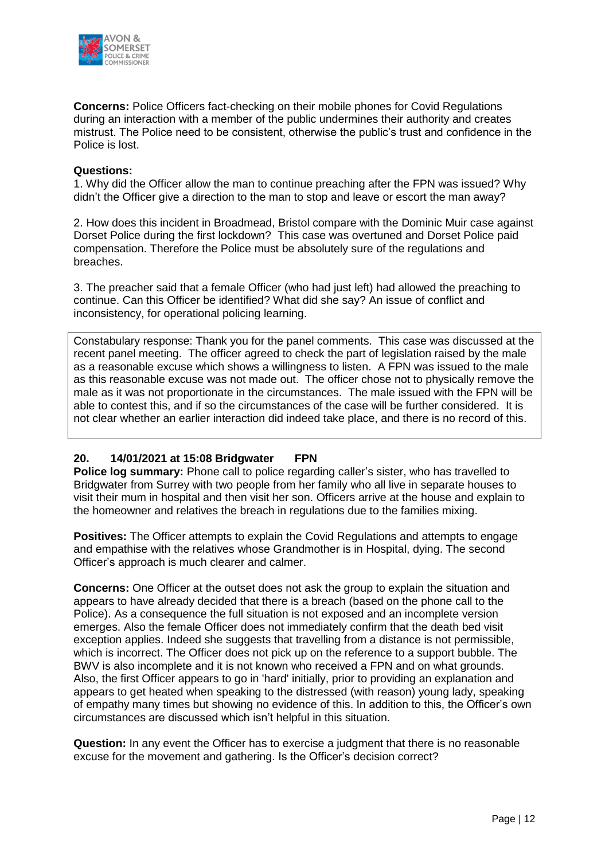

**Concerns:** Police Officers fact-checking on their mobile phones for Covid Regulations during an interaction with a member of the public undermines their authority and creates mistrust. The Police need to be consistent, otherwise the public's trust and confidence in the Police is lost.

#### **Questions:**

1. Why did the Officer allow the man to continue preaching after the FPN was issued? Why didn't the Officer give a direction to the man to stop and leave or escort the man away?

2. How does this incident in Broadmead, Bristol compare with the Dominic Muir case against Dorset Police during the first lockdown? This case was overtuned and Dorset Police paid compensation. Therefore the Police must be absolutely sure of the regulations and breaches.

3. The preacher said that a female Officer (who had just left) had allowed the preaching to continue. Can this Officer be identified? What did she say? An issue of conflict and inconsistency, for operational policing learning.

Constabulary response: Thank you for the panel comments. This case was discussed at the recent panel meeting. The officer agreed to check the part of legislation raised by the male as a reasonable excuse which shows a willingness to listen. A FPN was issued to the male as this reasonable excuse was not made out. The officer chose not to physically remove the male as it was not proportionate in the circumstances. The male issued with the FPN will be able to contest this, and if so the circumstances of the case will be further considered. It is not clear whether an earlier interaction did indeed take place, and there is no record of this.

#### **20. 14/01/2021 at 15:08 Bridgwater FPN**

**Police log summary:** Phone call to police regarding caller's sister, who has travelled to Bridgwater from Surrey with two people from her family who all live in separate houses to visit their mum in hospital and then visit her son. Officers arrive at the house and explain to the homeowner and relatives the breach in regulations due to the families mixing.

**Positives:** The Officer attempts to explain the Covid Regulations and attempts to engage and empathise with the relatives whose Grandmother is in Hospital, dying. The second Officer's approach is much clearer and calmer.

**Concerns:** One Officer at the outset does not ask the group to explain the situation and appears to have already decided that there is a breach (based on the phone call to the Police). As a consequence the full situation is not exposed and an incomplete version emerges. Also the female Officer does not immediately confirm that the death bed visit exception applies. Indeed she suggests that travelling from a distance is not permissible, which is incorrect. The Officer does not pick up on the reference to a support bubble. The BWV is also incomplete and it is not known who received a FPN and on what grounds. Also, the first Officer appears to go in 'hard' initially, prior to providing an explanation and appears to get heated when speaking to the distressed (with reason) young lady, speaking of empathy many times but showing no evidence of this. In addition to this, the Officer's own circumstances are discussed which isn't helpful in this situation.

**Question:** In any event the Officer has to exercise a judgment that there is no reasonable excuse for the movement and gathering. Is the Officer's decision correct?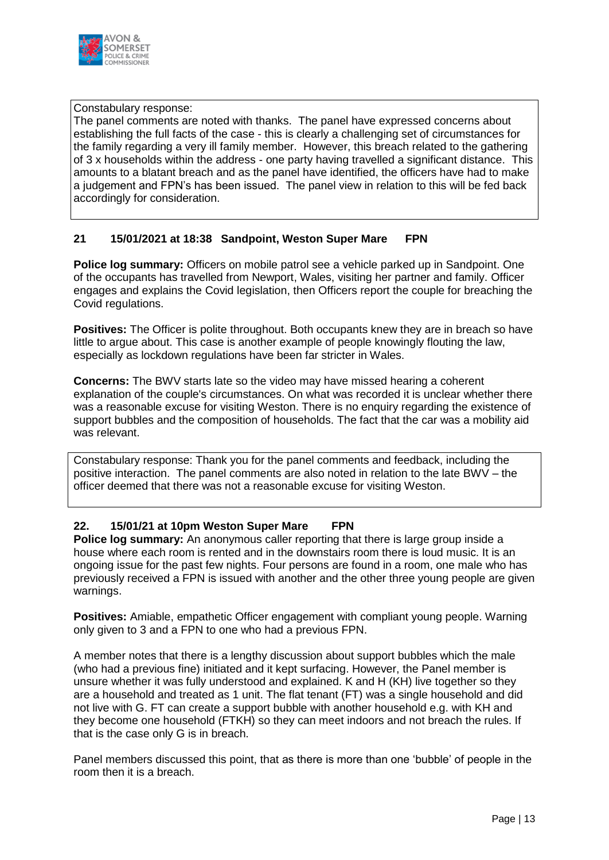

#### Constabulary response:

The panel comments are noted with thanks. The panel have expressed concerns about establishing the full facts of the case - this is clearly a challenging set of circumstances for the family regarding a very ill family member. However, this breach related to the gathering of 3 x households within the address - one party having travelled a significant distance. This amounts to a blatant breach and as the panel have identified, the officers have had to make a judgement and FPN's has been issued. The panel view in relation to this will be fed back accordingly for consideration.

#### **21 15/01/2021 at 18:38 Sandpoint, Weston Super Mare FPN**

**Police log summary:** Officers on mobile patrol see a vehicle parked up in Sandpoint. One of the occupants has travelled from Newport, Wales, visiting her partner and family. Officer engages and explains the Covid legislation, then Officers report the couple for breaching the Covid regulations.

**Positives:** The Officer is polite throughout. Both occupants knew they are in breach so have little to argue about. This case is another example of people knowingly flouting the law, especially as lockdown regulations have been far stricter in Wales.

**Concerns:** The BWV starts late so the video may have missed hearing a coherent explanation of the couple's circumstances. On what was recorded it is unclear whether there was a reasonable excuse for visiting Weston. There is no enquiry regarding the existence of support bubbles and the composition of households. The fact that the car was a mobility aid was relevant.

Constabulary response: Thank you for the panel comments and feedback, including the positive interaction. The panel comments are also noted in relation to the late BWV – the officer deemed that there was not a reasonable excuse for visiting Weston.

#### **22. 15/01/21 at 10pm Weston Super Mare FPN**

**Police log summary:** An anonymous caller reporting that there is large group inside a house where each room is rented and in the downstairs room there is loud music. It is an ongoing issue for the past few nights. Four persons are found in a room, one male who has previously received a FPN is issued with another and the other three young people are given warnings.

**Positives:** Amiable, empathetic Officer engagement with compliant young people. Warning only given to 3 and a FPN to one who had a previous FPN.

A member notes that there is a lengthy discussion about support bubbles which the male (who had a previous fine) initiated and it kept surfacing. However, the Panel member is unsure whether it was fully understood and explained. K and H (KH) live together so they are a household and treated as 1 unit. The flat tenant (FT) was a single household and did not live with G. FT can create a support bubble with another household e.g. with KH and they become one household (FTKH) so they can meet indoors and not breach the rules. If that is the case only G is in breach.

Panel members discussed this point, that as there is more than one 'bubble' of people in the room then it is a breach.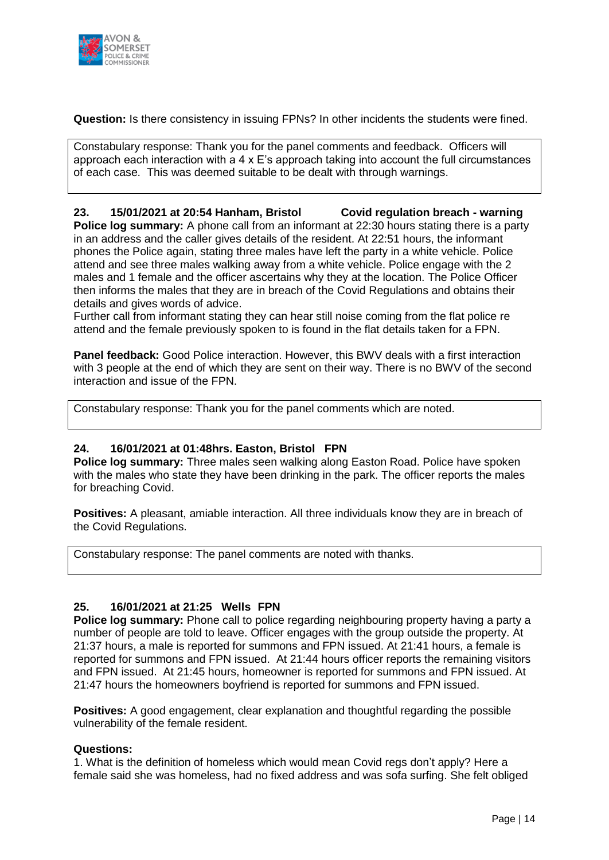

**Question:** Is there consistency in issuing FPNs? In other incidents the students were fined.

Constabulary response: Thank you for the panel comments and feedback. Officers will approach each interaction with a 4 x E's approach taking into account the full circumstances of each case. This was deemed suitable to be dealt with through warnings.

#### **23. 15/01/2021 at 20:54 Hanham, Bristol Covid regulation breach - warning**

**Police log summary:** A phone call from an informant at 22:30 hours stating there is a party in an address and the caller gives details of the resident. At 22:51 hours, the informant phones the Police again, stating three males have left the party in a white vehicle. Police attend and see three males walking away from a white vehicle. Police engage with the 2 males and 1 female and the officer ascertains why they at the location. The Police Officer then informs the males that they are in breach of the Covid Regulations and obtains their details and gives words of advice.

Further call from informant stating they can hear still noise coming from the flat police re attend and the female previously spoken to is found in the flat details taken for a FPN.

**Panel feedback:** Good Police interaction. However, this BWV deals with a first interaction with 3 people at the end of which they are sent on their way. There is no BWV of the second interaction and issue of the FPN.

Constabulary response: Thank you for the panel comments which are noted.

#### **24. 16/01/2021 at 01:48hrs. Easton, Bristol FPN**

**Police log summary:** Three males seen walking along Easton Road. Police have spoken with the males who state they have been drinking in the park. The officer reports the males for breaching Covid.

**Positives:** A pleasant, amiable interaction. All three individuals know they are in breach of the Covid Regulations.

Constabulary response: The panel comments are noted with thanks.

#### **25. 16/01/2021 at 21:25 Wells FPN**

**Police log summary:** Phone call to police regarding neighbouring property having a party a number of people are told to leave. Officer engages with the group outside the property. At 21:37 hours, a male is reported for summons and FPN issued. At 21:41 hours, a female is reported for summons and FPN issued. At 21:44 hours officer reports the remaining visitors and FPN issued. At 21:45 hours, homeowner is reported for summons and FPN issued. At 21:47 hours the homeowners boyfriend is reported for summons and FPN issued.

**Positives:** A good engagement, clear explanation and thoughtful regarding the possible vulnerability of the female resident.

#### **Questions:**

1. What is the definition of homeless which would mean Covid regs don't apply? Here a female said she was homeless, had no fixed address and was sofa surfing. She felt obliged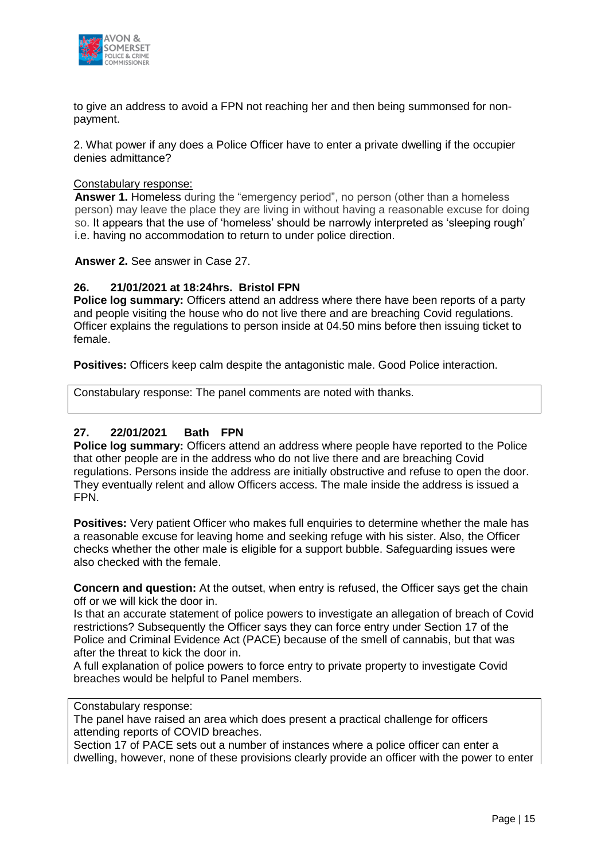

to give an address to avoid a FPN not reaching her and then being summonsed for nonpayment.

2. What power if any does a Police Officer have to enter a private dwelling if the occupier denies admittance?

#### Constabulary response:

**Answer 1.** Homeless during the "emergency period", no person (other than a homeless person) may leave the place they are living in without having a reasonable excuse for doing so. It appears that the use of 'homeless' should be narrowly interpreted as 'sleeping rough' i.e. having no accommodation to return to under police direction.

**Answer 2.** See answer in Case 27.

#### **26. 21/01/2021 at 18:24hrs. Bristol FPN**

**Police log summary:** Officers attend an address where there have been reports of a party and people visiting the house who do not live there and are breaching Covid regulations. Officer explains the regulations to person inside at 04.50 mins before then issuing ticket to female.

**Positives:** Officers keep calm despite the antagonistic male. Good Police interaction.

Constabulary response: The panel comments are noted with thanks.

#### **27. 22/01/2021 Bath FPN**

Police log summary: Officers attend an address where people have reported to the Police that other people are in the address who do not live there and are breaching Covid regulations. Persons inside the address are initially obstructive and refuse to open the door. They eventually relent and allow Officers access. The male inside the address is issued a FPN.

Positives: Very patient Officer who makes full enquiries to determine whether the male has a reasonable excuse for leaving home and seeking refuge with his sister. Also, the Officer checks whether the other male is eligible for a support bubble. Safeguarding issues were also checked with the female.

**Concern and question:** At the outset, when entry is refused, the Officer says get the chain off or we will kick the door in.

Is that an accurate statement of police powers to investigate an allegation of breach of Covid restrictions? Subsequently the Officer says they can force entry under Section 17 of the Police and Criminal Evidence Act (PACE) because of the smell of cannabis, but that was after the threat to kick the door in.

A full explanation of police powers to force entry to private property to investigate Covid breaches would be helpful to Panel members.

#### Constabulary response:

The panel have raised an area which does present a practical challenge for officers attending reports of COVID breaches.

Section 17 of PACE sets out a number of instances where a police officer can enter a dwelling, however, none of these provisions clearly provide an officer with the power to enter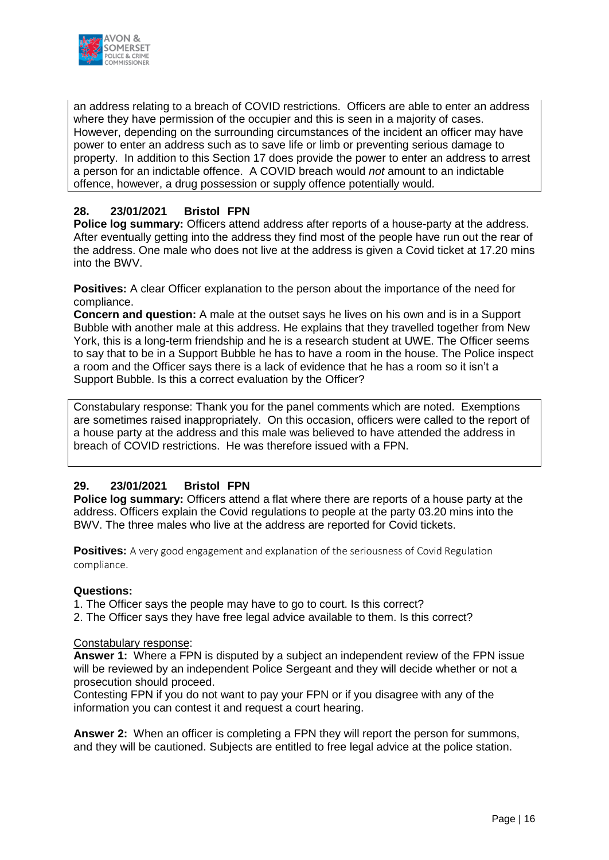

an address relating to a breach of COVID restrictions. Officers are able to enter an address where they have permission of the occupier and this is seen in a majority of cases. However, depending on the surrounding circumstances of the incident an officer may have power to enter an address such as to save life or limb or preventing serious damage to property. In addition to this Section 17 does provide the power to enter an address to arrest a person for an indictable offence. A COVID breach would *not* amount to an indictable offence, however, a drug possession or supply offence potentially would*.* 

#### **28. 23/01/2021 Bristol FPN**

Police log summary: Officers attend address after reports of a house-party at the address. After eventually getting into the address they find most of the people have run out the rear of the address. One male who does not live at the address is given a Covid ticket at 17.20 mins into the BWV.

**Positives:** A clear Officer explanation to the person about the importance of the need for compliance.

**Concern and question:** A male at the outset says he lives on his own and is in a Support Bubble with another male at this address. He explains that they travelled together from New York, this is a long-term friendship and he is a research student at UWE. The Officer seems to say that to be in a Support Bubble he has to have a room in the house. The Police inspect a room and the Officer says there is a lack of evidence that he has a room so it isn't a Support Bubble. Is this a correct evaluation by the Officer?

Constabulary response: Thank you for the panel comments which are noted. Exemptions are sometimes raised inappropriately. On this occasion, officers were called to the report of a house party at the address and this male was believed to have attended the address in breach of COVID restrictions. He was therefore issued with a FPN.

#### **29. 23/01/2021 Bristol FPN**

**Police log summary:** Officers attend a flat where there are reports of a house party at the address. Officers explain the Covid regulations to people at the party 03.20 mins into the BWV. The three males who live at the address are reported for Covid tickets.

**Positives:** A very good engagement and explanation of the seriousness of Covid Regulation compliance.

#### **Questions:**

1. The Officer says the people may have to go to court. Is this correct?

2. The Officer says they have free legal advice available to them. Is this correct?

#### Constabulary response:

**Answer 1:** Where a FPN is disputed by a subject an independent review of the FPN issue will be reviewed by an independent Police Sergeant and they will decide whether or not a prosecution should proceed.

Contesting FPN if you do not want to pay your FPN or if you disagree with any of the information you can contest it and request a court hearing.

**Answer 2:** When an officer is completing a FPN they will report the person for summons, and they will be cautioned. Subjects are entitled to free legal advice at the police station.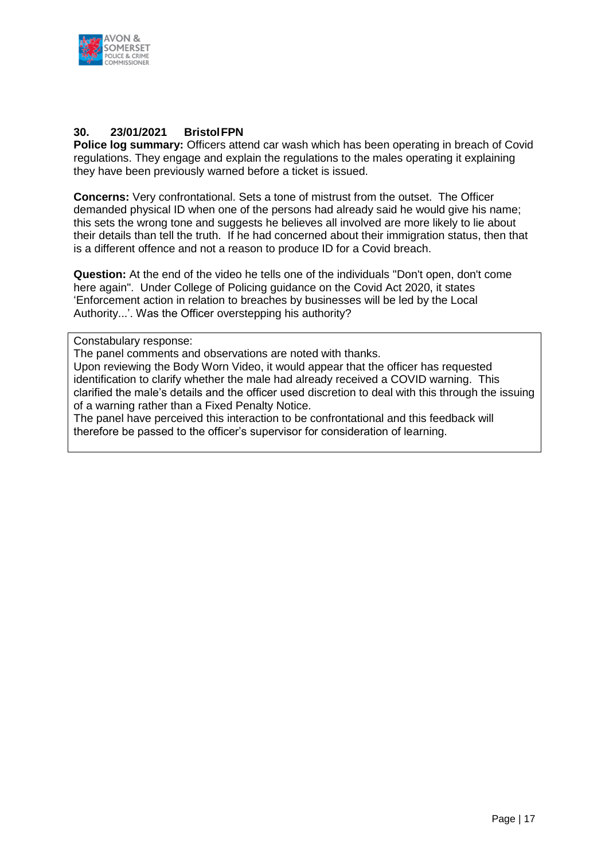

#### **30. 23/01/2021 BristolFPN**

**Police log summary:** Officers attend car wash which has been operating in breach of Covid regulations. They engage and explain the regulations to the males operating it explaining they have been previously warned before a ticket is issued.

**Concerns:** Very confrontational. Sets a tone of mistrust from the outset. The Officer demanded physical ID when one of the persons had already said he would give his name; this sets the wrong tone and suggests he believes all involved are more likely to lie about their details than tell the truth. If he had concerned about their immigration status, then that is a different offence and not a reason to produce ID for a Covid breach.

**Question:** At the end of the video he tells one of the individuals "Don't open, don't come here again". Under College of Policing guidance on the Covid Act 2020, it states 'Enforcement action in relation to breaches by businesses will be led by the Local Authority...'. Was the Officer overstepping his authority?

#### Constabulary response:

The panel comments and observations are noted with thanks.

Upon reviewing the Body Worn Video, it would appear that the officer has requested identification to clarify whether the male had already received a COVID warning. This clarified the male's details and the officer used discretion to deal with this through the issuing of a warning rather than a Fixed Penalty Notice.

The panel have perceived this interaction to be confrontational and this feedback will therefore be passed to the officer's supervisor for consideration of learning.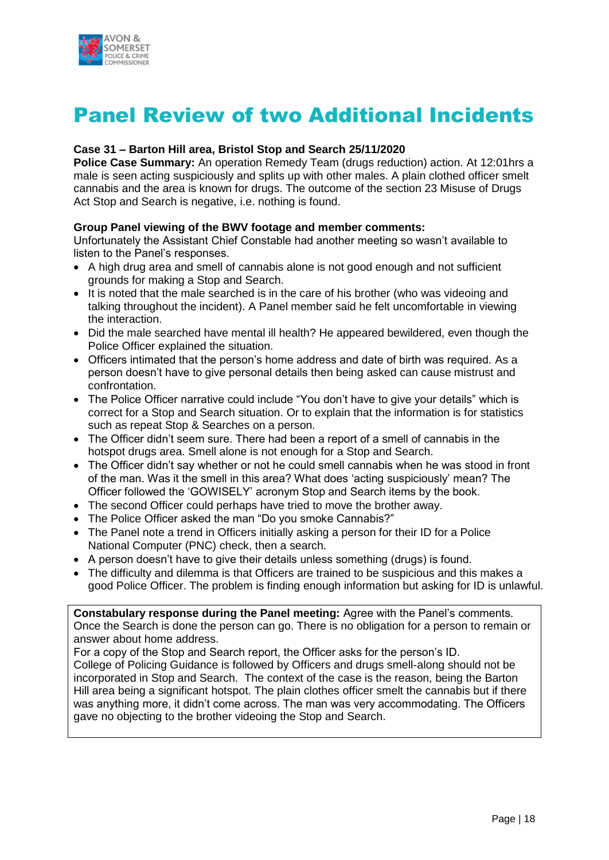

## Panel Review of two Additional Incidents

#### **Case 31 – Barton Hill area, Bristol Stop and Search 25/11/2020**

**Police Case Summary:** An operation Remedy Team (drugs reduction) action. At 12:01hrs a male is seen acting suspiciously and splits up with other males. A plain clothed officer smelt cannabis and the area is known for drugs. The outcome of the section 23 Misuse of Drugs Act Stop and Search is negative, i.e. nothing is found.

#### **Group Panel viewing of the BWV footage and member comments:**

Unfortunately the Assistant Chief Constable had another meeting so wasn't available to listen to the Panel's responses.

- A high drug area and smell of cannabis alone is not good enough and not sufficient grounds for making a Stop and Search.
- It is noted that the male searched is in the care of his brother (who was videoing and talking throughout the incident). A Panel member said he felt uncomfortable in viewing the interaction.
- Did the male searched have mental ill health? He appeared bewildered, even though the Police Officer explained the situation.
- Officers intimated that the person's home address and date of birth was required. As a person doesn't have to give personal details then being asked can cause mistrust and confrontation.
- The Police Officer narrative could include "You don't have to give your details" which is correct for a Stop and Search situation. Or to explain that the information is for statistics such as repeat Stop & Searches on a person.
- The Officer didn't seem sure. There had been a report of a smell of cannabis in the hotspot drugs area. Smell alone is not enough for a Stop and Search.
- The Officer didn't say whether or not he could smell cannabis when he was stood in front of the man. Was it the smell in this area? What does 'acting suspiciously' mean? The Officer followed the 'GOWISELY' acronym Stop and Search items by the book.
- The second Officer could perhaps have tried to move the brother away.
- The Police Officer asked the man "Do you smoke Cannabis?"
- The Panel note a trend in Officers initially asking a person for their ID for a Police National Computer (PNC) check, then a search.
- A person doesn't have to give their details unless something (drugs) is found.
- The difficulty and dilemma is that Officers are trained to be suspicious and this makes a good Police Officer. The problem is finding enough information but asking for ID is unlawful.

**Constabulary response during the Panel meeting:** Agree with the Panel's comments. Once the Search is done the person can go. There is no obligation for a person to remain or answer about home address.

For a copy of the Stop and Search report, the Officer asks for the person's ID. College of Policing Guidance is followed by Officers and drugs smell-along should not be incorporated in Stop and Search. The context of the case is the reason, being the Barton Hill area being a significant hotspot. The plain clothes officer smelt the cannabis but if there was anything more, it didn't come across. The man was very accommodating. The Officers gave no objecting to the brother videoing the Stop and Search.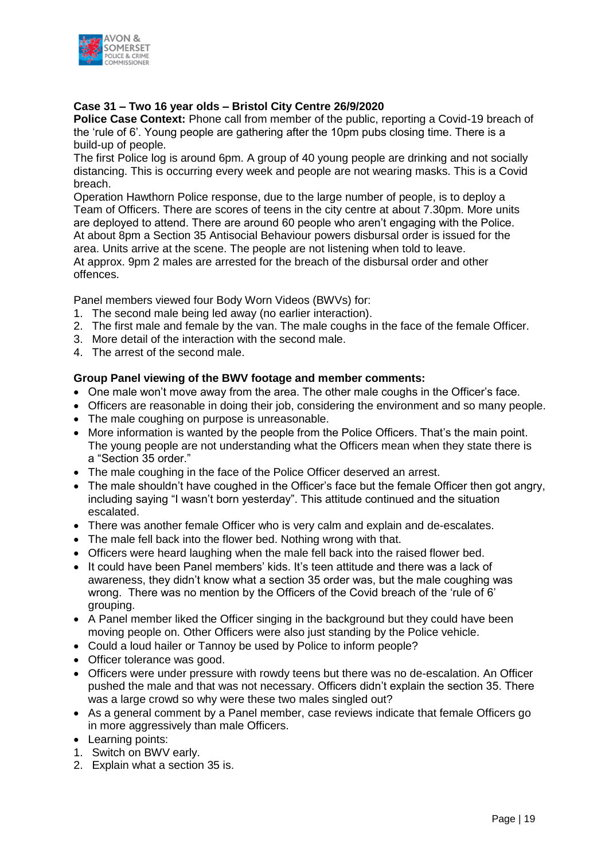

#### **Case 31 – Two 16 year olds – Bristol City Centre 26/9/2020**

**Police Case Context:** Phone call from member of the public, reporting a Covid-19 breach of the 'rule of 6'. Young people are gathering after the 10pm pubs closing time. There is a build-up of people.

The first Police log is around 6pm. A group of 40 young people are drinking and not socially distancing. This is occurring every week and people are not wearing masks. This is a Covid breach.

Operation Hawthorn Police response, due to the large number of people, is to deploy a Team of Officers. There are scores of teens in the city centre at about 7.30pm. More units are deployed to attend. There are around 60 people who aren't engaging with the Police. At about 8pm a Section 35 Antisocial Behaviour powers disbursal order is issued for the area. Units arrive at the scene. The people are not listening when told to leave. At approx. 9pm 2 males are arrested for the breach of the disbursal order and other offences.

Panel members viewed four Body Worn Videos (BWVs) for:

- 1. The second male being led away (no earlier interaction).
- 2. The first male and female by the van. The male coughs in the face of the female Officer.
- 3. More detail of the interaction with the second male.
- 4. The arrest of the second male.

#### **Group Panel viewing of the BWV footage and member comments:**

- One male won't move away from the area. The other male coughs in the Officer's face.
- Officers are reasonable in doing their job, considering the environment and so many people.
- The male coughing on purpose is unreasonable.
- More information is wanted by the people from the Police Officers. That's the main point. The young people are not understanding what the Officers mean when they state there is a "Section 35 order."
- The male coughing in the face of the Police Officer deserved an arrest.
- The male shouldn't have coughed in the Officer's face but the female Officer then got angry, including saying "I wasn't born yesterday". This attitude continued and the situation escalated.
- There was another female Officer who is very calm and explain and de-escalates.
- The male fell back into the flower bed. Nothing wrong with that.
- Officers were heard laughing when the male fell back into the raised flower bed.
- It could have been Panel members' kids. It's teen attitude and there was a lack of awareness, they didn't know what a section 35 order was, but the male coughing was wrong. There was no mention by the Officers of the Covid breach of the 'rule of 6' grouping.
- A Panel member liked the Officer singing in the background but they could have been moving people on. Other Officers were also just standing by the Police vehicle.
- Could a loud hailer or Tannoy be used by Police to inform people?
- Officer tolerance was good.
- Officers were under pressure with rowdy teens but there was no de-escalation. An Officer pushed the male and that was not necessary. Officers didn't explain the section 35. There was a large crowd so why were these two males singled out?
- As a general comment by a Panel member, case reviews indicate that female Officers go in more aggressively than male Officers.
- Learning points:
- 1. Switch on BWV early.
- 2. Explain what a section 35 is.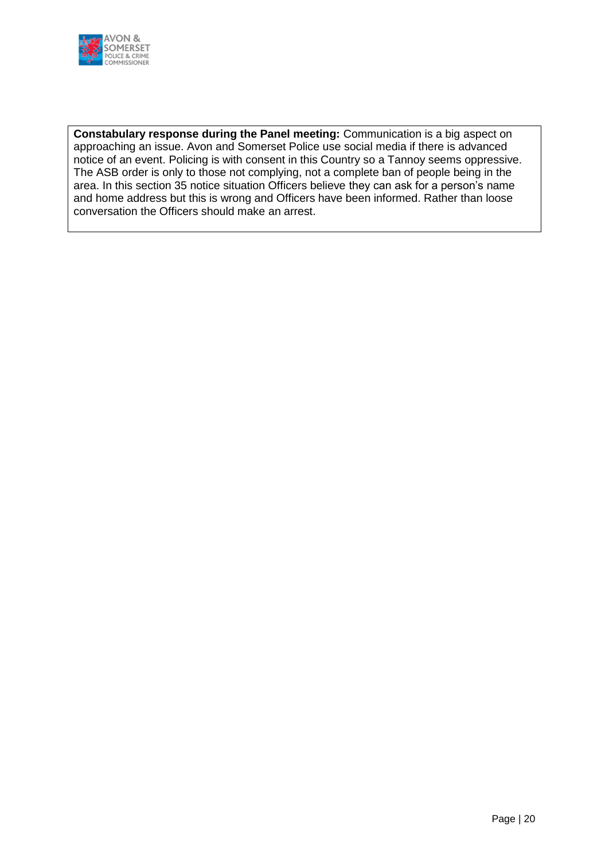

**Constabulary response during the Panel meeting:** Communication is a big aspect on approaching an issue. Avon and Somerset Police use social media if there is advanced notice of an event. Policing is with consent in this Country so a Tannoy seems oppressive. The ASB order is only to those not complying, not a complete ban of people being in the area. In this section 35 notice situation Officers believe they can ask for a person's name and home address but this is wrong and Officers have been informed. Rather than loose conversation the Officers should make an arrest.